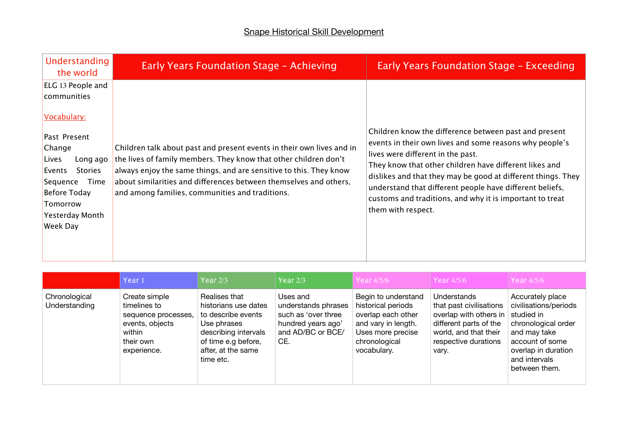| Understanding<br>the world                                                                                                                                                 | Early Years Foundation Stage - Achieving                                                                                                                                                                                                                                                                                                | <b>Early Years Foundation Stage - Exceeding</b>                                                                                                                                                                                                                                                                                                                                                         |
|----------------------------------------------------------------------------------------------------------------------------------------------------------------------------|-----------------------------------------------------------------------------------------------------------------------------------------------------------------------------------------------------------------------------------------------------------------------------------------------------------------------------------------|---------------------------------------------------------------------------------------------------------------------------------------------------------------------------------------------------------------------------------------------------------------------------------------------------------------------------------------------------------------------------------------------------------|
| ELG 13 People and<br>communities<br>Vocabulary:<br>Past Present<br>Change<br>Lives<br>Long ago<br><b>Stories</b><br>Events<br>Sequence<br>Time<br>Before Today<br>Tomorrow | Children talk about past and present events in their own lives and in<br>the lives of family members. They know that other children don't<br>always enjoy the same things, and are sensitive to this. They know<br>about similarities and differences between themselves and others,<br>and among families, communities and traditions. | Children know the difference between past and present<br>events in their own lives and some reasons why people's<br>lives were different in the past.<br>They know that other children have different likes and<br>dislikes and that they may be good at different things. They<br>understand that different people have different beliefs,<br>customs and traditions, and why it is important to treat |
| <b>Yesterday Month</b><br>Week Day                                                                                                                                         |                                                                                                                                                                                                                                                                                                                                         | them with respect.                                                                                                                                                                                                                                                                                                                                                                                      |

|                                | Year 1                                                                                                        | Year $2/3$                                                                                                                                                   | Year $2/3$                                                                                               | <b>Year 4/5/6</b>                                                                                                                           | Year 4/5/6                                                                                                                                           | Year 4/5/6                                                                                                                                                                 |
|--------------------------------|---------------------------------------------------------------------------------------------------------------|--------------------------------------------------------------------------------------------------------------------------------------------------------------|----------------------------------------------------------------------------------------------------------|---------------------------------------------------------------------------------------------------------------------------------------------|------------------------------------------------------------------------------------------------------------------------------------------------------|----------------------------------------------------------------------------------------------------------------------------------------------------------------------------|
| Chronological<br>Understanding | Create simple<br>timelines to<br>sequence processes,<br>events, objects<br>within<br>their own<br>experience. | Realises that<br>historians use dates<br>to describe events<br>Use phrases<br>describing intervals<br>of time e.g before,<br>after, at the same<br>time etc. | Uses and<br>understands phrases<br>such as 'over three<br>hundred years ago'<br>and AD/BC or BCE/<br>CE. | Begin to understand<br>historical periods<br>overlap each other<br>and vary in length.<br>Uses more precise<br>chronological<br>vocabulary. | Understands<br>that past civilisations<br>overlap with others in<br>different parts of the<br>world, and that their<br>respective durations<br>vary. | Accurately place<br>civilisations/periods<br>studied in<br>chronological order<br>and may take<br>account of some<br>overlap in duration<br>and intervals<br>between them. |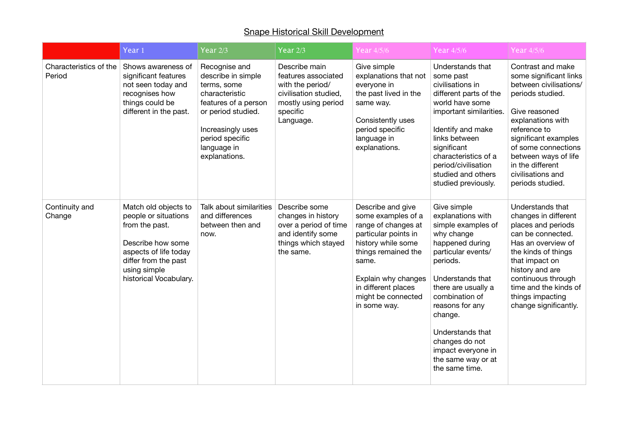|                                  | Year <sub>1</sub>                                                                                                                                                              | Year $2/3$                                                                                                                                                                                 | Year $2/3$                                                                                                                        | Year 4/5/6                                                                                                                                                                                                                       | Year 4/5/6                                                                                                                                                                                                                                                                                                               | Year 4/5/6                                                                                                                                                                                                                                                                          |
|----------------------------------|--------------------------------------------------------------------------------------------------------------------------------------------------------------------------------|--------------------------------------------------------------------------------------------------------------------------------------------------------------------------------------------|-----------------------------------------------------------------------------------------------------------------------------------|----------------------------------------------------------------------------------------------------------------------------------------------------------------------------------------------------------------------------------|--------------------------------------------------------------------------------------------------------------------------------------------------------------------------------------------------------------------------------------------------------------------------------------------------------------------------|-------------------------------------------------------------------------------------------------------------------------------------------------------------------------------------------------------------------------------------------------------------------------------------|
| Characteristics of the<br>Period | Shows awareness of<br>significant features<br>not seen today and<br>recognises how<br>things could be<br>different in the past.                                                | Recognise and<br>describe in simple<br>terms, some<br>characteristic<br>features of a person<br>or period studied.<br>Increasingly uses<br>period specific<br>language in<br>explanations. | Describe main<br>features associated<br>with the period/<br>civilisation studied,<br>mostly using period<br>specific<br>Language. | Give simple<br>explanations that not<br>everyone in<br>the past lived in the<br>same way.<br>Consistently uses<br>period specific<br>language in<br>explanations.                                                                | Understands that<br>some past<br>civilisations in<br>different parts of the<br>world have some<br>important similarities.<br>Identify and make<br>links between<br>significant<br>characteristics of a<br>period/civilisation<br>studied and others<br>studied previously.                                               | Contrast and make<br>some significant links<br>between civilisations/<br>periods studied.<br>Give reasoned<br>explanations with<br>reference to<br>significant examples<br>of some connections<br>between ways of life<br>in the different<br>civilisations and<br>periods studied. |
| Continuity and<br>Change         | Match old objects to<br>people or situations<br>from the past.<br>Describe how some<br>aspects of life today<br>differ from the past<br>using simple<br>historical Vocabulary. | Talk about similarities<br>and differences<br>between then and<br>now.                                                                                                                     | Describe some<br>changes in history<br>over a period of time<br>and identify some<br>things which stayed<br>the same.             | Describe and give<br>some examples of a<br>range of changes at<br>particular points in<br>history while some<br>things remained the<br>same.<br>Explain why changes<br>in different places<br>might be connected<br>in some way. | Give simple<br>explanations with<br>simple examples of<br>why change<br>happened during<br>particular events/<br>periods.<br>Understands that<br>there are usually a<br>combination of<br>reasons for any<br>change.<br>Understands that<br>changes do not<br>impact everyone in<br>the same way or at<br>the same time. | Understands that<br>changes in different<br>places and periods<br>can be connected.<br>Has an overview of<br>the kinds of things<br>that impact on<br>history and are<br>continuous through<br>time and the kinds of<br>things impacting<br>change significantly.                   |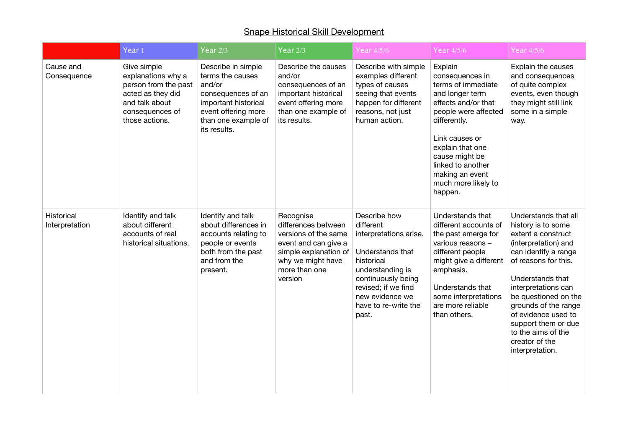|                              | Year <sub>1</sub>                                                                                                                     | Year $2/3$                                                                                                                                                   | Year $2/3$                                                                                                                                                 | Year 4/5/6                                                                                                                                                                                                 | Year 4/5/6                                                                                                                                                                                                                                                           | Year 4/5/6                                                                                                                                                                                                                                                                                                                                   |
|------------------------------|---------------------------------------------------------------------------------------------------------------------------------------|--------------------------------------------------------------------------------------------------------------------------------------------------------------|------------------------------------------------------------------------------------------------------------------------------------------------------------|------------------------------------------------------------------------------------------------------------------------------------------------------------------------------------------------------------|----------------------------------------------------------------------------------------------------------------------------------------------------------------------------------------------------------------------------------------------------------------------|----------------------------------------------------------------------------------------------------------------------------------------------------------------------------------------------------------------------------------------------------------------------------------------------------------------------------------------------|
| Cause and<br>Consequence     | Give simple<br>explanations why a<br>person from the past<br>acted as they did<br>and talk about<br>consequences of<br>those actions. | Describe in simple<br>terms the causes<br>and/or<br>consequences of an<br>important historical<br>event offering more<br>than one example of<br>its results. | Describe the causes<br>and/or<br>consequences of an<br>important historical<br>event offering more<br>than one example of<br>its results.                  | Describe with simple<br>examples different<br>types of causes<br>seeing that events<br>happen for different<br>reasons, not just<br>human action.                                                          | Explain<br>consequences in<br>terms of immediate<br>and longer term<br>effects and/or that<br>people were affected<br>differently.<br>Link causes or<br>explain that one<br>cause might be<br>linked to another<br>making an event<br>much more likely to<br>happen. | Explain the causes<br>and consequences<br>of quite complex<br>events, even though<br>they might still link<br>some in a simple<br>way.                                                                                                                                                                                                       |
| Historical<br>Interpretation | Identify and talk<br>about different<br>accounts of real<br>historical situations.                                                    | Identify and talk<br>about differences in<br>accounts relating to<br>people or events<br>both from the past<br>and from the<br>present.                      | Recognise<br>differences between<br>versions of the same<br>event and can give a<br>simple explanation of<br>why we might have<br>more than one<br>version | Describe how<br>different<br>interpretations arise.<br>Understands that<br>historical<br>understanding is<br>continuously being<br>revised; if we find<br>new evidence we<br>have to re-write the<br>past. | Understands that<br>different accounts of<br>the past emerge for<br>various reasons -<br>different people<br>might give a different<br>emphasis.<br>Understands that<br>some interpretations<br>are more reliable<br>than others.                                    | Understands that all<br>history is to some<br>extent a construct<br>(interpretation) and<br>can identify a range<br>of reasons for this.<br>Understands that<br>interpretations can<br>be questioned on the<br>grounds of the range<br>of evidence used to<br>support them or due<br>to the aims of the<br>creator of the<br>interpretation. |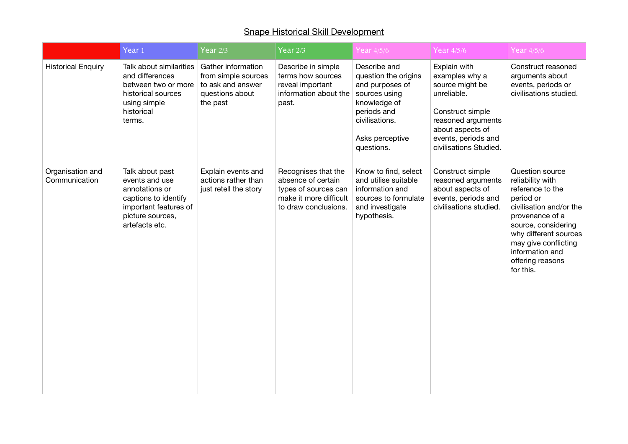|                                   | Year $1$                                                                                                                                   | Year $2/3$                                                                                    | Year $2/3$                                                                                                          | Year 4/5/6                                                                                                                                                 | Year 4/5/6                                                                                                                                                                      | Year 4/5/6                                                                                                                                                                                                                                     |
|-----------------------------------|--------------------------------------------------------------------------------------------------------------------------------------------|-----------------------------------------------------------------------------------------------|---------------------------------------------------------------------------------------------------------------------|------------------------------------------------------------------------------------------------------------------------------------------------------------|---------------------------------------------------------------------------------------------------------------------------------------------------------------------------------|------------------------------------------------------------------------------------------------------------------------------------------------------------------------------------------------------------------------------------------------|
| <b>Historical Enquiry</b>         | Talk about similarities<br>and differences<br>between two or more<br>historical sources<br>using simple<br>historical<br>terms.            | Gather information<br>from simple sources<br>to ask and answer<br>questions about<br>the past | Describe in simple<br>terms how sources<br>reveal important<br>information about the<br>past.                       | Describe and<br>question the origins<br>and purposes of<br>sources using<br>knowledge of<br>periods and<br>civilisations.<br>Asks perceptive<br>questions. | Explain with<br>examples why a<br>source might be<br>unreliable.<br>Construct simple<br>reasoned arguments<br>about aspects of<br>events, periods and<br>civilisations Studied. | Construct reasoned<br>arguments about<br>events, periods or<br>civilisations studied.                                                                                                                                                          |
| Organisation and<br>Communication | Talk about past<br>events and use<br>annotations or<br>captions to identify<br>important features of<br>picture sources,<br>artefacts etc. | Explain events and<br>actions rather than<br>just retell the story                            | Recognises that the<br>absence of certain<br>types of sources can<br>make it more difficult<br>to draw conclusions. | Know to find, select<br>and utilise suitable<br>information and<br>sources to formulate<br>and investigate<br>hypothesis.                                  | Construct simple<br>reasoned arguments<br>about aspects of<br>events, periods and<br>civilisations studied.                                                                     | Question source<br>reliability with<br>reference to the<br>period or<br>civilisation and/or the<br>provenance of a<br>source, considering<br>why different sources<br>may give conflicting<br>information and<br>offering reasons<br>for this. |